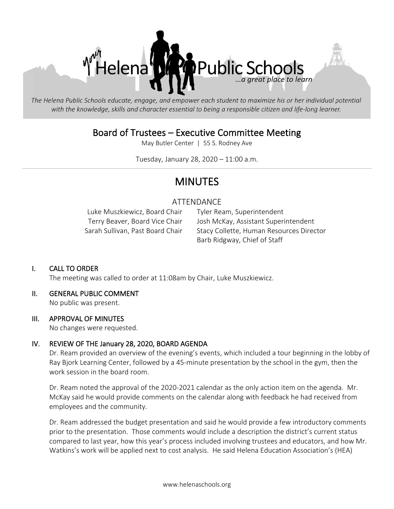

The Helena Public Schools educate, engage, and empower each student to maximize his or her individual potential with the knowledge, skills and character essential to being a responsible citizen and life-long learner.

# Board of Trustees – Executive Committee Meeting

May Butler Center | 55 S. Rodney Ave

Tuesday, January 28, 2020 – 11:00 a.m.

# MINUTES

# ATTENDANCE

Luke Muszkiewicz, Board Chair Tyler Ream, Superintendent

Terry Beaver, Board Vice Chair Josh McKay, Assistant Superintendent Sarah Sullivan, Past Board Chair Stacy Collette, Human Resources Director Barb Ridgway, Chief of Staff

## I. CALL TO ORDER

The meeting was called to order at 11:08am by Chair, Luke Muszkiewicz.

## II. GENERAL PUBLIC COMMENT

No public was present.

#### III. APPROVAL OF MINUTES

No changes were requested.

#### IV. REVIEW OF THE January 28, 2020, BOARD AGENDA

Dr. Ream provided an overview of the evening's events, which included a tour beginning in the lobby of Ray Bjork Learning Center, followed by a 45-minute presentation by the school in the gym, then the work session in the board room.

Dr. Ream noted the approval of the 2020-2021 calendar as the only action item on the agenda. Mr. McKay said he would provide comments on the calendar along with feedback he had received from employees and the community.

Dr. Ream addressed the budget presentation and said he would provide a few introductory comments prior to the presentation. Those comments would include a description the district's current status compared to last year, how this year's process included involving trustees and educators, and how Mr. Watkins's work will be applied next to cost analysis. He said Helena Education Association's (HEA)